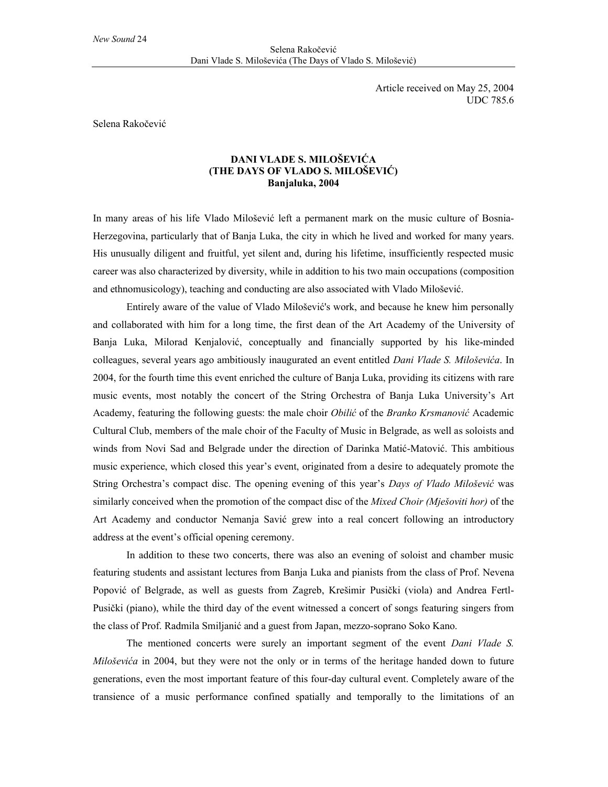Article received on May 25, 2004 UDC 785.6

Selena Rakočević

## **DANI VLADE S. MILOŠEVIĆA (THE DAYS OF VLADO S. MILOŠEVIĆ) Banjaluka, 2004**

In many areas of his life Vlado Milošević left a permanent mark on the music culture of Bosnia-Herzegovina, particularly that of Banja Luka, the city in which he lived and worked for many years. His unusually diligent and fruitful, yet silent and, during his lifetime, insufficiently respected music career was also characterized by diversity, while in addition to his two main occupations (composition and ethnomusicology), teaching and conducting are also associated with Vlado Milošević.

Entirely aware of the value of Vlado Milošević's work, and because he knew him personally and collaborated with him for a long time, the first dean of the Art Academy of the University of Banja Luka, Milorad Kenjalović, conceptually and financially supported by his like-minded colleagues, several years ago ambitiously inaugurated an event entitled *Dani Vlade S. Miloševića*. In 2004, for the fourth time this event enriched the culture of Banja Luka, providing its citizens with rare music events, most notably the concert of the String Orchestra of Banja Luka University's Art Academy, featuring the following guests: the male choir *Obilić* of the *Branko Krsmanović* Academic Cultural Club, members of the male choir of the Faculty of Music in Belgrade, as well as soloists and winds from Novi Sad and Belgrade under the direction of Darinka Matić-Matović. This ambitious music experience, which closed this year's event, originated from a desire to adequately promote the String Orchestra's compact disc. The opening evening of this year's *Days of Vlado Milošević* was similarly conceived when the promotion of the compact disc of the *Mixed Choir (Mješoviti hor)* of the Art Academy and conductor Nemanja Savić grew into a real concert following an introductory address at the event's official opening ceremony.

In addition to these two concerts, there was also an evening of soloist and chamber music featuring students and assistant lectures from Banja Luka and pianists from the class of Prof. Nevena Popović of Belgrade, as well as guests from Zagreb, Krešimir Pusički (viola) and Andrea Fertl-Pusički (piano), while the third day of the event witnessed a concert of songs featuring singers from the class of Prof. Radmila Smiljanić and a guest from Japan, mezzo-soprano Soko Kano.

The mentioned concerts were surely an important segment of the event *Dani Vlade S. Miloševića* in 2004, but they were not the only or in terms of the heritage handed down to future generations, even the most important feature of this four-day cultural event. Completely aware of the transience of a music performance confined spatially and temporally to the limitations of an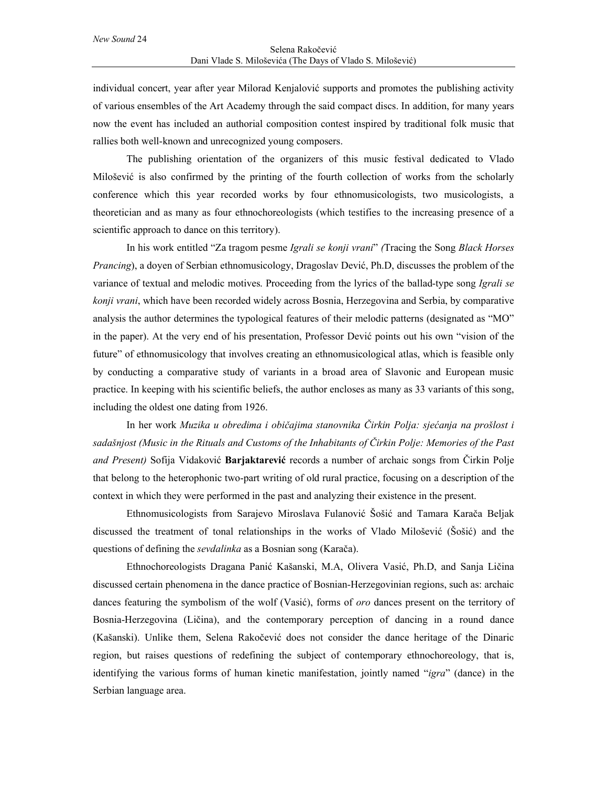individual concert, year after year Milorad Kenjalović supports and promotes the publishing activity of various ensembles of the Art Academy through the said compact discs. In addition, for many years now the event has included an authorial composition contest inspired by traditional folk music that rallies both well-known and unrecognized young composers.

The publishing orientation of the organizers of this music festival dedicated to Vlado Milošević is also confirmed by the printing of the fourth collection of works from the scholarly conference which this year recorded works by four ethnomusicologists, two musicologists, a theoretician and as many as four ethnochoreologists (which testifies to the increasing presence of a scientific approach to dance on this territory).

In his work entitled "Za tragom pesme *Igrali se konji vrani*" *(*Tracing the Song *Black Horses Prancing*), a doyen of Serbian ethnomusicology, Dragoslav Dević, Ph.D, discusses the problem of the variance of textual and melodic motives. Proceeding from the lyrics of the ballad-type song *Igrali se konji vrani*, which have been recorded widely across Bosnia, Herzegovina and Serbia, by comparative analysis the author determines the typological features of their melodic patterns (designated as "MO" in the paper). At the very end of his presentation, Professor Dević points out his own "vision of the future" of ethnomusicology that involves creating an ethnomusicological atlas, which is feasible only by conducting a comparative study of variants in a broad area of Slavonic and European music practice. In keeping with his scientific beliefs, the author encloses as many as 33 variants of this song, including the oldest one dating from 1926.

In her work *Muzika u obredima i običajima stanovnika Čirkin Polja: sjećanja na prošlost i sadašnjost (Music in the Rituals and Customs of the Inhabitants of Čirkin Polje: Memories of the Past and Present)* Sofija Vidaković **Barjaktarević** records a number of archaic songs from Čirkin Polje that belong to the heterophonic two-part writing of old rural practice, focusing on a description of the context in which they were performed in the past and analyzing their existence in the present.

Ethnomusicologists from Sarajevo Miroslava Fulanović Šošić and Tamara Karača Beljak discussed the treatment of tonal relationships in the works of Vlado Milošević (Šošić) and the questions of defining the *sevdalinka* as a Bosnian song (Karača).

Ethnochoreologists Dragana Panić Kašanski, M.A, Olivera Vasić, Ph.D, and Sanja Ličina discussed certain phenomena in the dance practice of Bosnian-Herzegovinian regions, such as: archaic dances featuring the symbolism of the wolf (Vasić), forms of *oro* dances present on the territory of Bosnia-Herzegovina (Ličina), and the contemporary perception of dancing in a round dance (Kašanski). Unlike them, Selena Rakočević does not consider the dance heritage of the Dinaric region, but raises questions of redefining the subject of contemporary ethnochoreology, that is, identifying the various forms of human kinetic manifestation, jointly named "*igra*" (dance) in the Serbian language area.